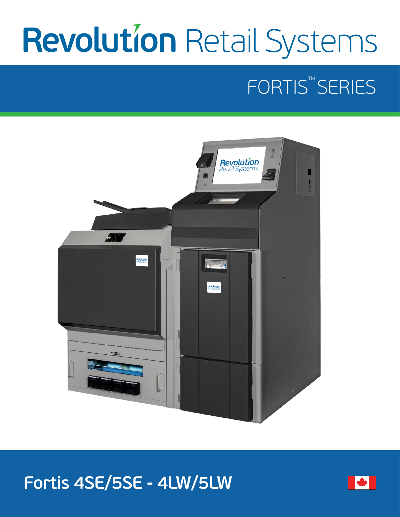# **Revolution Retail Systems**

# FORTIS<sup>™</sup>SERIES



## **Fortis 4SE/5SE - 4LW/5LW**

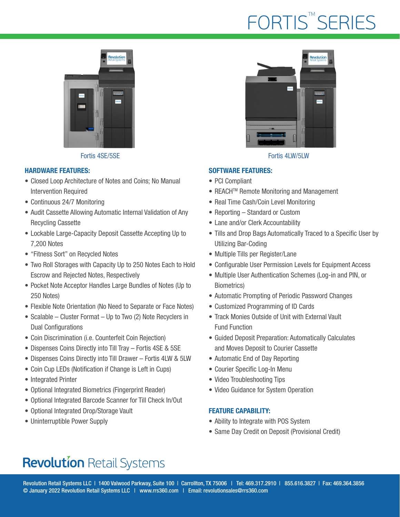# FORTIS<sup>™</sup>SERIES



Fortis 4SE/5SE Fortis 4LW/5LW

#### HARDWARE FEATURES:

- Closed Loop Architecture of Notes and Coins; No Manual Intervention Required
- Continuous 24/7 Monitoring
- Audit Cassette Allowing Automatic Internal Validation of Any Recycling Cassette
- Lockable Large-Capacity Deposit Cassette Accepting Up to 7,200 Notes
- "Fitness Sort" on Recycled Notes
- Two Roll Storages with Capacity Up to 250 Notes Each to Hold Escrow and Rejected Notes, Respectively
- Pocket Note Acceptor Handles Large Bundles of Notes (Up to 250 Notes)
- Flexible Note Orientation (No Need to Separate or Face Notes)
- Scalable Cluster Format Up to Two (2) Note Recyclers in Dual Configurations
- Coin Discrimination (i.e. Counterfeit Coin Rejection)
- Dispenses Coins Directly into Till Tray Fortis 4SE & 5SE
- Dispenses Coins Directly into Till Drawer Fortis 4LW & 5LW
- Coin Cup LEDs (Notification if Change is Left in Cups)
- Integrated Printer
- Optional Integrated Biometrics (Fingerprint Reader)
- Optional Integrated Barcode Scanner for Till Check In/Out
- Optional Integrated Drop/Storage Vault
- Uninterruptible Power Supply



#### SOFTWARE FEATURES:

- PCI Compliant
- REACH<sup>™</sup> Remote Monitoring and Management
- Real Time Cash/Coin Level Monitoring
- Reporting Standard or Custom
- Lane and/or Clerk Accountability
- Tills and Drop Bags Automatically Traced to a Specific User by Utilizing Bar-Coding
- Multiple Tills per Register/Lane
- Configurable User Permission Levels for Equipment Access
- Multiple User Authentication Schemes (Log-in and PIN, or Biometrics)
- Automatic Prompting of Periodic Password Changes
- Customized Programming of ID Cards
- Track Monies Outside of Unit with External Vault Fund Function
- Guided Deposit Preparation: Automatically Calculates and Moves Deposit to Courier Cassette
- Automatic End of Day Reporting
- Courier Specific Log-In Menu
- Video Troubleshooting Tips
- Video Guidance for System Operation

#### FEATURE CAPABILITY:

- Ability to Integrate with POS System
- Same Day Credit on Deposit (Provisional Credit)

## **Revolution Retail Systems**

Revolution Retail Systems LLC | 1400 Valwood Parkway, Suite 100 | Carrollton, TX 75006 | Tel: 469.317.2910 | 855.616.3827 | Fax: 469.364.3856 © January 2022 Revolution Retail Systems LLC | www.rrs360.com | Email: revolutionsales@rrs360.com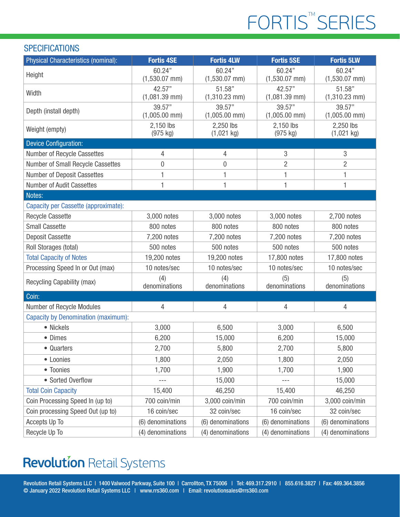# FORTIS<sup>™</sup>SERIES

#### **SPECIFICATIONS**

| Physical Characteristics (nominal):        | <b>Fortis 4SE</b>               | <b>Fortis 4LW</b>         | <b>Fortis 5SE</b>               | <b>Fortis 5LW</b>         |
|--------------------------------------------|---------------------------------|---------------------------|---------------------------------|---------------------------|
| Height                                     | 60.24"<br>$(1,530.07$ mm)       | 60.24"<br>$(1,530.07$ mm) | 60.24"<br>$(1,530.07$ mm)       | 60.24"<br>$(1,530.07$ mm) |
| Width                                      | 42.57"<br>$(1,081.39$ mm)       | 51.58"<br>$(1,310.23$ mm) | 42.57"<br>$(1,081.39$ mm)       | 51.58"<br>$(1,310.23$ mm) |
| Depth (install depth)                      | 39.57"<br>$(1,005.00$ mm)       | 39.57"<br>$(1,005.00$ mm) | 39.57"<br>$(1,005.00$ mm)       | 39.57"<br>$(1,005.00$ mm) |
| Weight (empty)                             | 2,150 lbs<br>$(975 \text{ kg})$ | 2,250 lbs<br>$(1,021$ kg) | 2,150 lbs<br>$(975 \text{ kg})$ | 2,250 lbs<br>$(1,021$ kg) |
| <b>Device Configuration:</b>               |                                 |                           |                                 |                           |
| Number of Recycle Cassettes                | 4                               | 4                         | 3                               | 3                         |
| Number of Small Recycle Cassettes          | 0                               | 0                         | $\overline{2}$                  | $\overline{2}$            |
| <b>Number of Deposit Cassettes</b>         | 1                               | 1                         | 1                               | 1                         |
| Number of Audit Cassettes                  | 1                               | 1                         | 1                               | 1                         |
| Notes:                                     |                                 |                           |                                 |                           |
| Capacity per Cassette (approximate):       |                                 |                           |                                 |                           |
| <b>Recycle Cassette</b>                    | 3,000 notes                     | 3,000 notes               | 3,000 notes                     | 2,700 notes               |
| <b>Small Cassette</b>                      | 800 notes                       | 800 notes                 | 800 notes                       | 800 notes                 |
| <b>Deposit Cassette</b>                    | 7,200 notes                     | 7,200 notes               | 7,200 notes                     | 7,200 notes               |
| Roll Storages (total)                      | 500 notes                       | 500 notes                 | 500 notes                       | 500 notes                 |
| <b>Total Capacity of Notes</b>             | 19,200 notes                    | 19,200 notes              | 17,800 notes                    | 17,800 notes              |
| Processing Speed In or Out (max)           | 10 notes/sec                    | 10 notes/sec              | 10 notes/sec                    | 10 notes/sec              |
| Recycling Capability (max)                 | (4)<br>denominations            | (4)<br>denominations      | (5)<br>denominations            | (5)<br>denominations      |
| Coin:                                      |                                 |                           |                                 |                           |
| Number of Recycle Modules                  | 4                               | 4                         | $\overline{4}$                  | 4                         |
| <b>Capacity by Denomination (maximum):</b> |                                 |                           |                                 |                           |
| • Nickels                                  | 3,000                           | 6,500                     | 3,000                           | 6,500                     |
| • Dimes                                    | 6,200                           | 15,000                    | 6,200                           | 15,000                    |
| • Quarters                                 | 2,700                           | 5,800                     | 2,700                           | 5,800                     |
| • Loonies                                  | 1,800                           | 2,050                     | 1,800                           | 2,050                     |
| • Toonies                                  | 1,700                           | 1,900                     | 1,700                           | 1,900                     |
| • Sorted Overflow                          | $- - -$                         | 15,000                    | $- - -$                         | 15,000                    |
| <b>Total Coin Capacity</b>                 | 15,400                          | 46,250                    | 15,400                          | 46,250                    |
| Coin Processing Speed In (up to)           | 700 coin/min                    | 3,000 coin/min            | 700 coin/min                    | 3,000 coin/min            |
| Coin processing Speed Out (up to)          | 16 coin/sec                     | 32 coin/sec               | 16 coin/sec                     | 32 coin/sec               |
| Accepts Up To                              | (6) denominations               | (6) denominations         | (6) denominations               | (6) denominations         |
| Recycle Up To                              | (4) denominations               | (4) denominations         | (4) denominations               | (4) denominations         |

## **Revolution Retail Systems**

Revolution Retail Systems LLC | 1400 Valwood Parkway, Suite 100 | Carrollton, TX 75006 | Tel: 469.317.2910 | 855.616.3827 | Fax: 469.364.3856 © January 2022 Revolution Retail Systems LLC | www.rrs360.com | Email: revolutionsales@rrs360.com